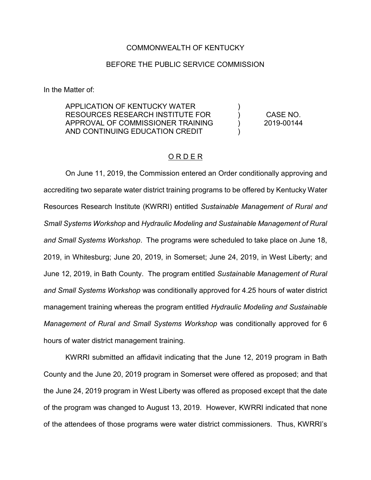## COMMONWEALTH OF KENTUCKY

## BEFORE THE PUBLIC SERVICE COMMISSION

In the Matter of:

APPLICATION OF KENTUCKY WATER RESOURCES RESEARCH INSTITUTE FOR APPROVAL OF COMMISSIONER TRAINING AND CONTINUING EDUCATION CREDIT  $\lambda$ ) ) ) CASE NO. 2019-00144

## O R D E R

On June 11, 2019, the Commission entered an Order conditionally approving and accrediting two separate water district training programs to be offered by Kentucky Water Resources Research Institute (KWRRI) entitled *Sustainable Management of Rural and Small Systems Workshop* and *Hydraulic Modeling and Sustainable Management of Rural and Small Systems Workshop*. The programs were scheduled to take place on June 18, 2019, in Whitesburg; June 20, 2019, in Somerset; June 24, 2019, in West Liberty; and June 12, 2019, in Bath County. The program entitled *Sustainable Management of Rural and Small Systems Workshop* was conditionally approved for 4.25 hours of water district management training whereas the program entitled *Hydraulic Modeling and Sustainable Management of Rural and Small Systems Workshop* was conditionally approved for 6 hours of water district management training.

KWRRI submitted an affidavit indicating that the June 12, 2019 program in Bath County and the June 20, 2019 program in Somerset were offered as proposed; and that the June 24, 2019 program in West Liberty was offered as proposed except that the date of the program was changed to August 13, 2019. However, KWRRI indicated that none of the attendees of those programs were water district commissioners. Thus, KWRRI's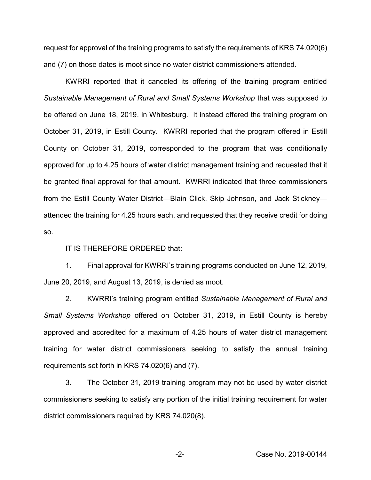request for approval of the training programs to satisfy the requirements of KRS 74.020(6) and (7) on those dates is moot since no water district commissioners attended.

KWRRI reported that it canceled its offering of the training program entitled *Sustainable Management of Rural and Small Systems Workshop* that was supposed to be offered on June 18, 2019, in Whitesburg. It instead offered the training program on October 31, 2019, in Estill County. KWRRI reported that the program offered in Estill County on October 31, 2019, corresponded to the program that was conditionally approved for up to 4.25 hours of water district management training and requested that it be granted final approval for that amount. KWRRI indicated that three commissioners from the Estill County Water District—Blain Click, Skip Johnson, and Jack Stickney attended the training for 4.25 hours each, and requested that they receive credit for doing so.

IT IS THEREFORE ORDERED that:

1. Final approval for KWRRI's training programs conducted on June 12, 2019, June 20, 2019, and August 13, 2019, is denied as moot.

2. KWRRI's training program entitled *Sustainable Management of Rural and Small Systems Workshop* offered on October 31, 2019, in Estill County is hereby approved and accredited for a maximum of 4.25 hours of water district management training for water district commissioners seeking to satisfy the annual training requirements set forth in KRS 74.020(6) and (7).

3. The October 31, 2019 training program may not be used by water district commissioners seeking to satisfy any portion of the initial training requirement for water district commissioners required by KRS 74.020(8).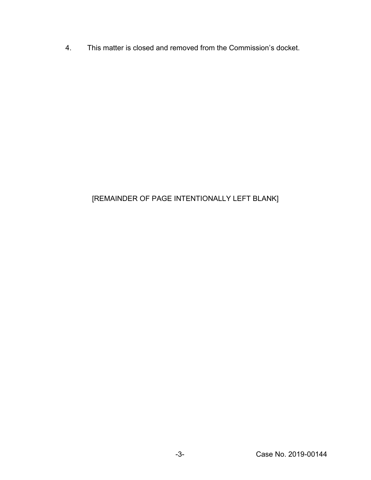4. This matter is closed and removed from the Commission's docket.

## [REMAINDER OF PAGE INTENTIONALLY LEFT BLANK]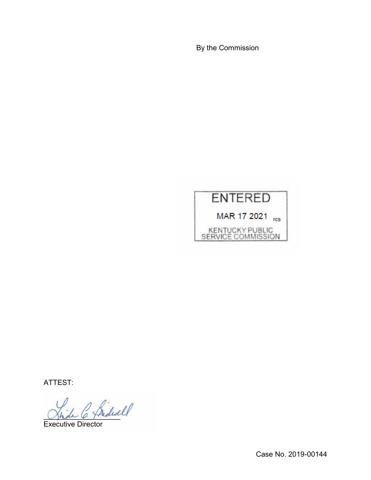By the Commission



ATTEST:

\_\_\_\_\_\_\_\_\_\_\_\_\_\_\_\_\_\_\_

Executive Director

Case No. 2019-00144